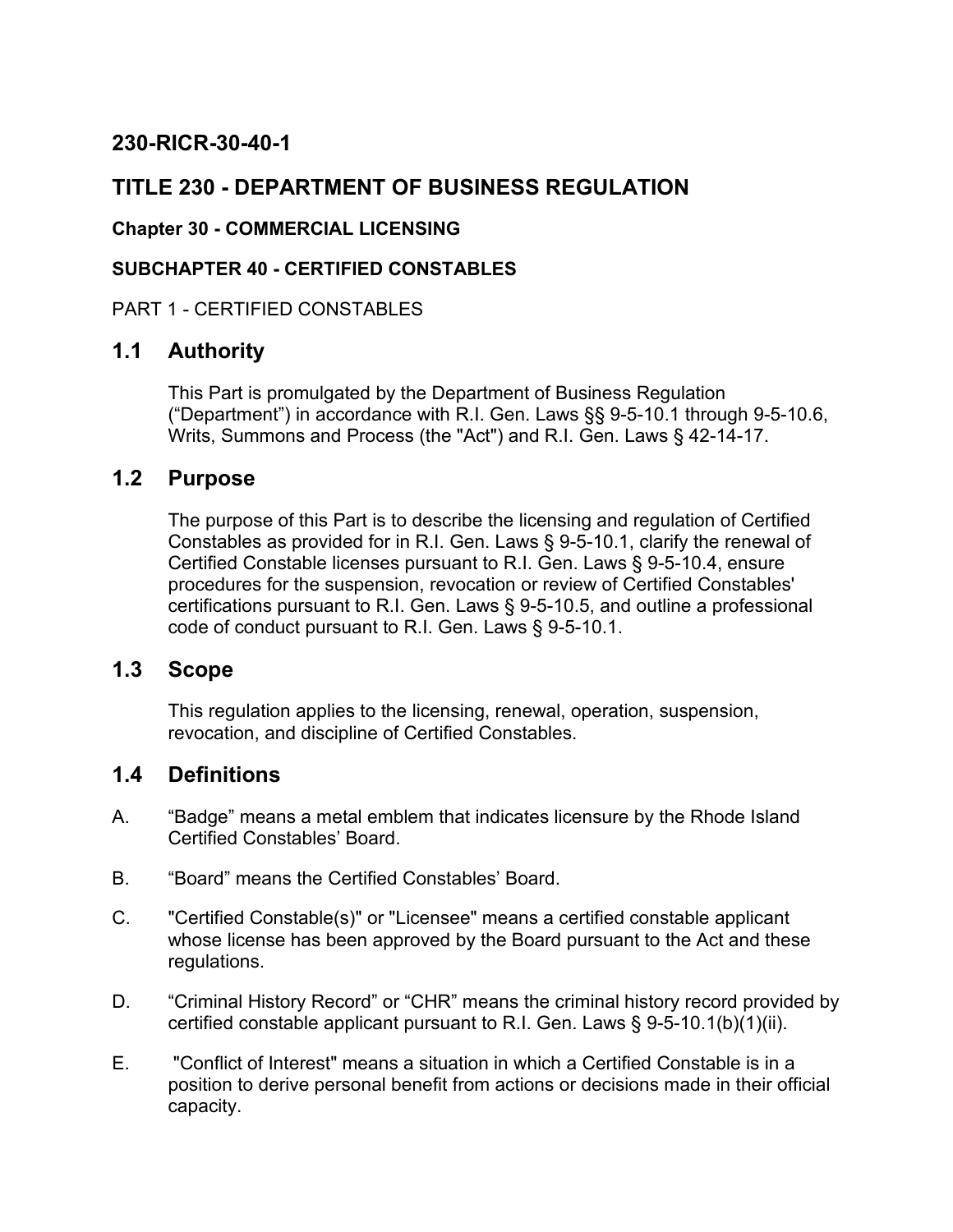### **230-RICR-30-40-1**

## **TITLE 230 - DEPARTMENT OF BUSINESS REGULATION**

#### **Chapter 30 - COMMERCIAL LICENSING**

#### **SUBCHAPTER 40 - CERTIFIED CONSTABLES**

#### PART 1 - CERTIFIED CONSTABLES

### **1.1 Authority**

This Part is promulgated by the Department of Business Regulation ("Department") in accordance with R.I. Gen. Laws §§ 9-5-10.1 through 9-5-10.6, Writs, Summons and Process (the "Act") and R.I. Gen. Laws § 42-14-17.

### **1.2 Purpose**

The purpose of this Part is to describe the licensing and regulation of Certified Constables as provided for in R.I. Gen. Laws § 9-5-10.1, clarify the renewal of Certified Constable licenses pursuant to R.I. Gen. Laws § 9-5-10.4, ensure procedures for the suspension, revocation or review of Certified Constables' certifications pursuant to R.I. Gen. Laws § 9-5-10.5, and outline a professional code of conduct pursuant to R.I. Gen. Laws § 9-5-10.1.

#### **1.3 Scope**

This regulation applies to the licensing, renewal, operation, suspension, revocation, and discipline of Certified Constables.

### **1.4 Definitions**

- A. "Badge" means a metal emblem that indicates licensure by the Rhode Island Certified Constables' Board.
- B. "Board" means the Certified Constables' Board.
- C. "Certified Constable(s)" or "Licensee" means a certified constable applicant whose license has been approved by the Board pursuant to the Act and these regulations.
- D. "Criminal History Record" or "CHR" means the criminal history record provided by certified constable applicant pursuant to R.I. Gen. Laws  $\S$  9-5-10.1(b)(1)(ii).
- E. "Conflict of Interest" means a situation in which a Certified Constable is in a position to derive personal benefit from actions or decisions made in their official capacity.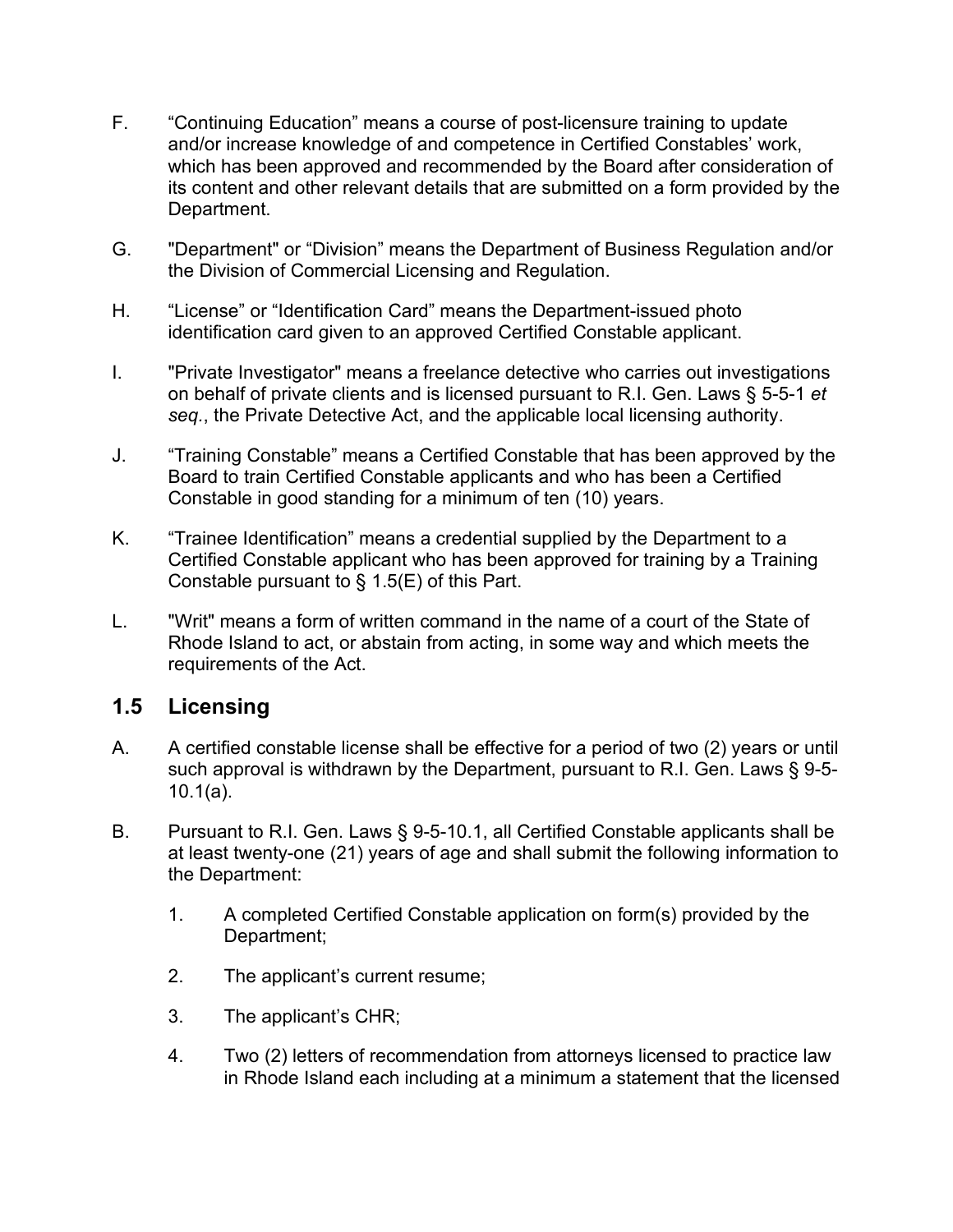- F. "Continuing Education" means a course of post-licensure training to update and/or increase knowledge of and competence in Certified Constables' work, which has been approved and recommended by the Board after consideration of its content and other relevant details that are submitted on a form provided by the Department.
- G. "Department" or "Division" means the Department of Business Regulation and/or the Division of Commercial Licensing and Regulation.
- H. "License" or "Identification Card" means the Department-issued photo identification card given to an approved Certified Constable applicant.
- I. "Private Investigator" means a freelance detective who carries out investigations on behalf of private clients and is licensed pursuant to R.I. Gen. Laws § 5-5-1 *et seq.*, the Private Detective Act, and the applicable local licensing authority.
- J. "Training Constable" means a Certified Constable that has been approved by the Board to train Certified Constable applicants and who has been a Certified Constable in good standing for a minimum of ten (10) years.
- K. "Trainee Identification" means a credential supplied by the Department to a Certified Constable applicant who has been approved for training by a Training Constable pursuant to § 1.5(E) of this Part.
- L. "Writ" means a form of written command in the name of a court of the State of Rhode Island to act, or abstain from acting, in some way and which meets the requirements of the Act.

## **1.5 Licensing**

- A. A certified constable license shall be effective for a period of two (2) years or until such approval is withdrawn by the Department, pursuant to R.I. Gen. Laws § 9-5- 10.1(a).
- B. Pursuant to R.I. Gen. Laws § 9-5-10.1, all Certified Constable applicants shall be at least twenty-one (21) years of age and shall submit the following information to the Department:
	- 1. A completed Certified Constable application on form(s) provided by the Department;
	- 2. The applicant's current resume;
	- 3. The applicant's CHR;
	- 4. Two (2) letters of recommendation from attorneys licensed to practice law in Rhode Island each including at a minimum a statement that the licensed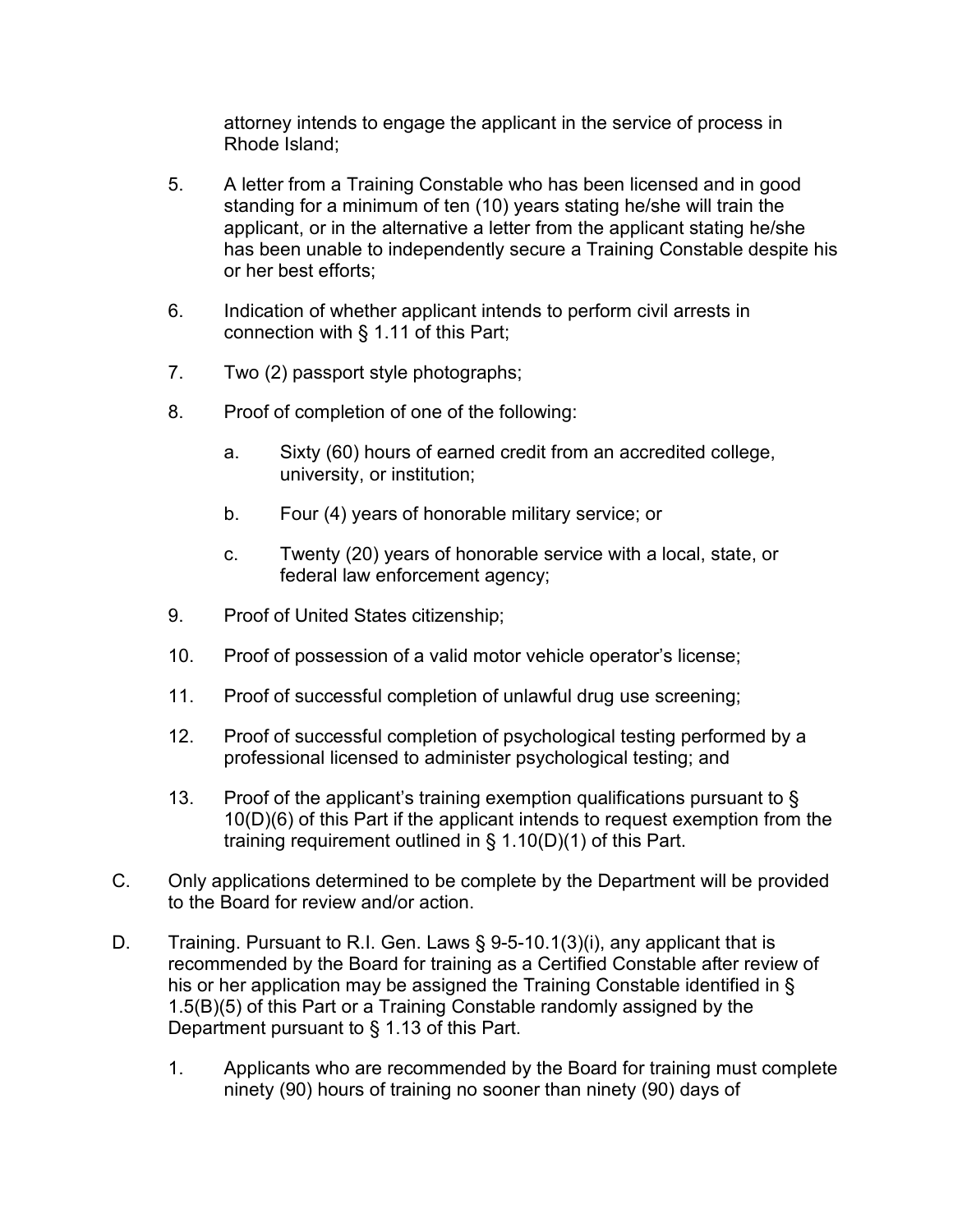attorney intends to engage the applicant in the service of process in Rhode Island;

- 5. A letter from a Training Constable who has been licensed and in good standing for a minimum of ten (10) years stating he/she will train the applicant, or in the alternative a letter from the applicant stating he/she has been unable to independently secure a Training Constable despite his or her best efforts;
- 6. Indication of whether applicant intends to perform civil arrests in connection with § 1.11 of this Part;
- 7. Two (2) passport style photographs;
- 8. Proof of completion of one of the following:
	- a. Sixty (60) hours of earned credit from an accredited college, university, or institution;
	- b. Four (4) years of honorable military service; or
	- c. Twenty (20) years of honorable service with a local, state, or federal law enforcement agency;
- 9. Proof of United States citizenship;
- 10. Proof of possession of a valid motor vehicle operator's license;
- 11. Proof of successful completion of unlawful drug use screening;
- 12. Proof of successful completion of psychological testing performed by a professional licensed to administer psychological testing; and
- 13. Proof of the applicant's training exemption qualifications pursuant to § 10(D)(6) of this Part if the applicant intends to request exemption from the training requirement outlined in § 1.10(D)(1) of this Part.
- C. Only applications determined to be complete by the Department will be provided to the Board for review and/or action.
- D. Training. Pursuant to R.I. Gen. Laws § 9-5-10.1(3)(i), any applicant that is recommended by the Board for training as a Certified Constable after review of his or her application may be assigned the Training Constable identified in § 1.5(B)(5) of this Part or a Training Constable randomly assigned by the Department pursuant to § 1.13 of this Part.
	- 1. Applicants who are recommended by the Board for training must complete ninety (90) hours of training no sooner than ninety (90) days of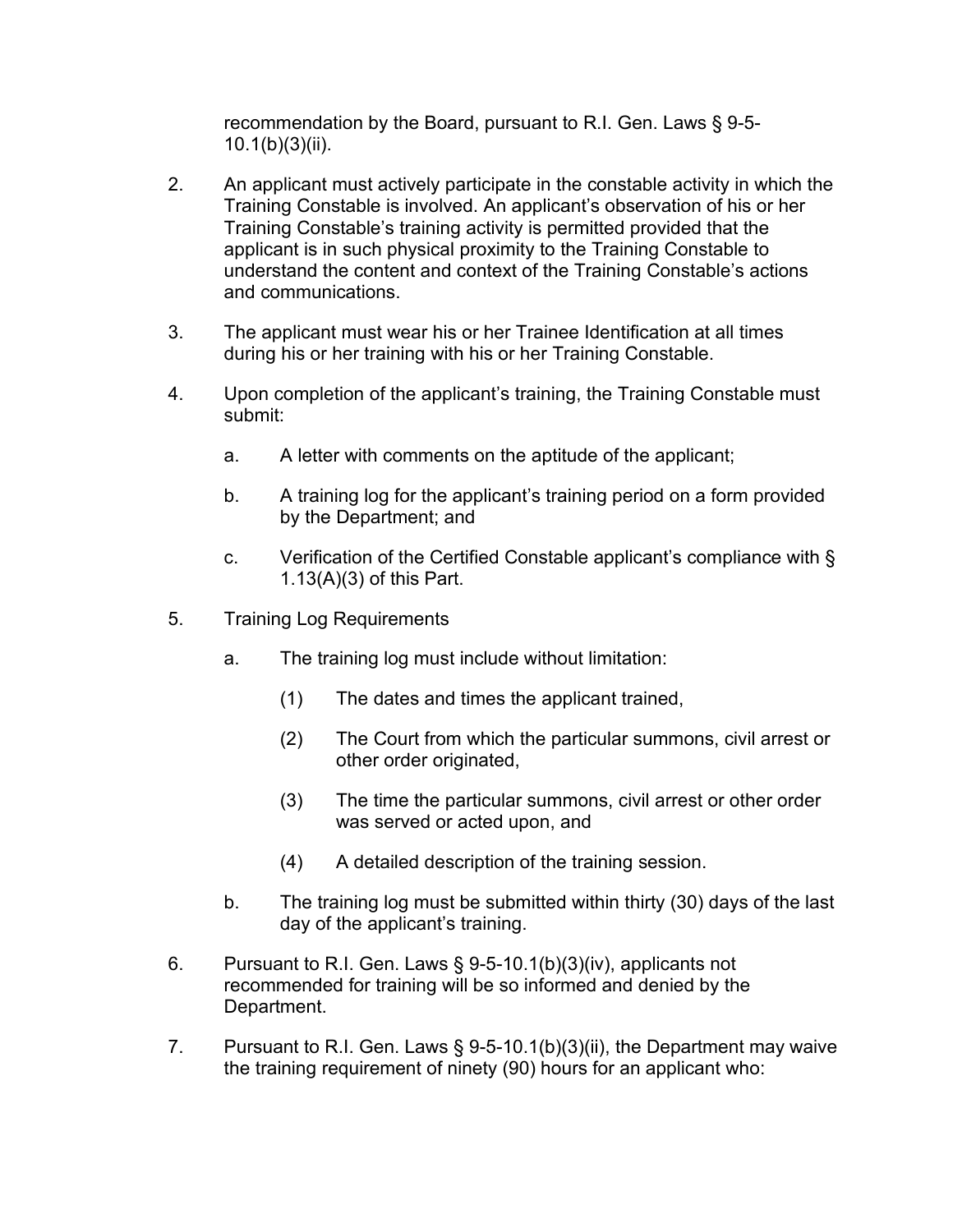recommendation by the Board, pursuant to R.I. Gen. Laws § 9-5- 10.1(b)(3)(ii).

- 2. An applicant must actively participate in the constable activity in which the Training Constable is involved. An applicant's observation of his or her Training Constable's training activity is permitted provided that the applicant is in such physical proximity to the Training Constable to understand the content and context of the Training Constable's actions and communications.
- 3. The applicant must wear his or her Trainee Identification at all times during his or her training with his or her Training Constable.
- 4. Upon completion of the applicant's training, the Training Constable must submit:
	- a. A letter with comments on the aptitude of the applicant;
	- b. A training log for the applicant's training period on a form provided by the Department; and
	- c. Verification of the Certified Constable applicant's compliance with § 1.13(A)(3) of this Part.
- 5. Training Log Requirements
	- a. The training log must include without limitation:
		- (1) The dates and times the applicant trained,
		- (2) The Court from which the particular summons, civil arrest or other order originated,
		- (3) The time the particular summons, civil arrest or other order was served or acted upon, and
		- (4) A detailed description of the training session.
	- b. The training log must be submitted within thirty (30) days of the last day of the applicant's training.
- 6. Pursuant to R.I. Gen. Laws  $\S$  9-5-10.1(b)(3)(iv), applicants not recommended for training will be so informed and denied by the Department.
- 7. Pursuant to R.I. Gen. Laws § 9-5-10.1(b)(3)(ii), the Department may waive the training requirement of ninety (90) hours for an applicant who: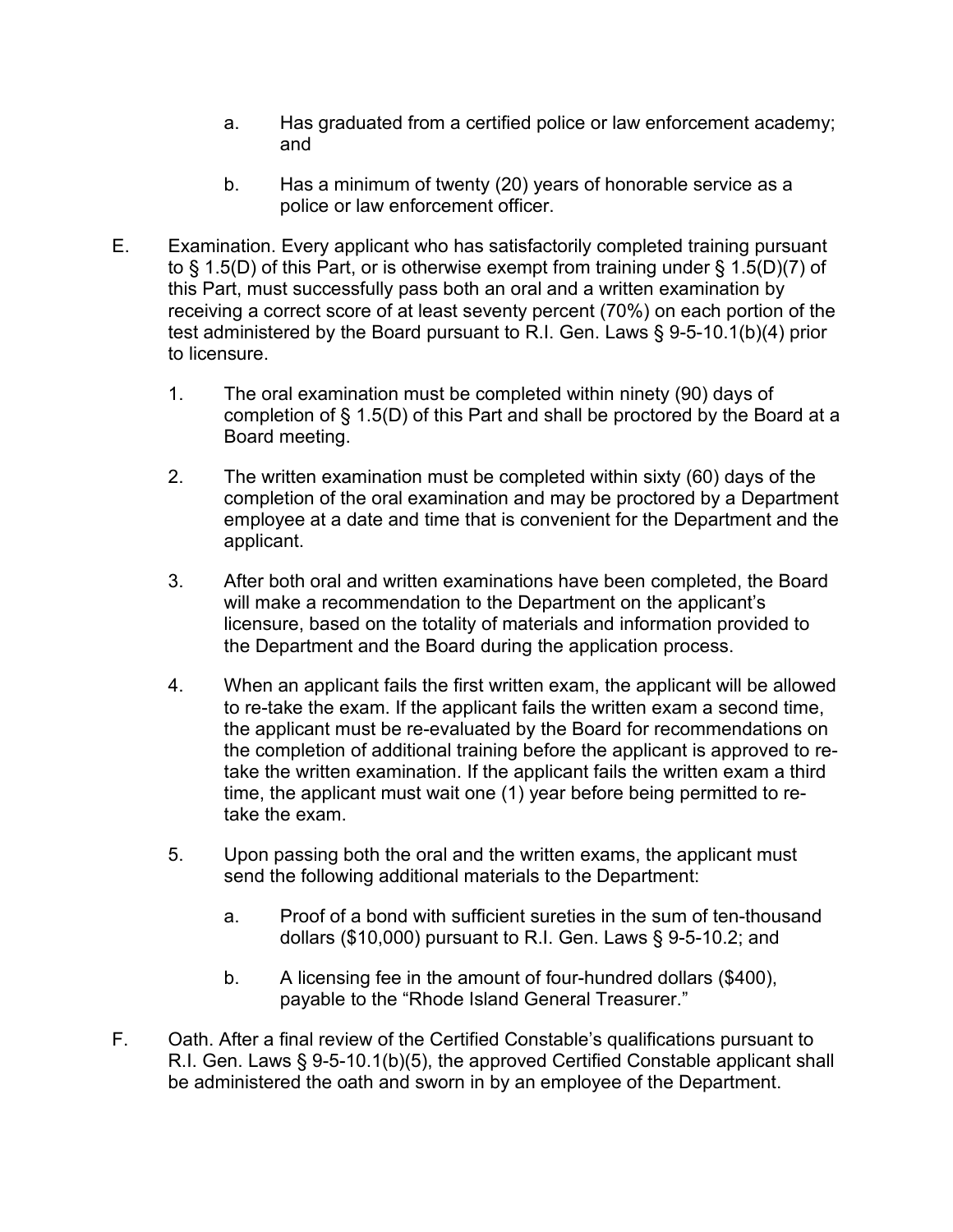- a. Has graduated from a certified police or law enforcement academy; and
- b. Has a minimum of twenty (20) years of honorable service as a police or law enforcement officer.
- E. Examination. Every applicant who has satisfactorily completed training pursuant to § 1.5(D) of this Part, or is otherwise exempt from training under § 1.5(D)(7) of this Part, must successfully pass both an oral and a written examination by receiving a correct score of at least seventy percent (70%) on each portion of the test administered by the Board pursuant to R.I. Gen. Laws § 9-5-10.1(b)(4) prior to licensure.
	- 1. The oral examination must be completed within ninety (90) days of completion of § 1.5(D) of this Part and shall be proctored by the Board at a Board meeting.
	- 2. The written examination must be completed within sixty (60) days of the completion of the oral examination and may be proctored by a Department employee at a date and time that is convenient for the Department and the applicant.
	- 3. After both oral and written examinations have been completed, the Board will make a recommendation to the Department on the applicant's licensure, based on the totality of materials and information provided to the Department and the Board during the application process.
	- 4. When an applicant fails the first written exam, the applicant will be allowed to re-take the exam. If the applicant fails the written exam a second time, the applicant must be re-evaluated by the Board for recommendations on the completion of additional training before the applicant is approved to retake the written examination. If the applicant fails the written exam a third time, the applicant must wait one (1) year before being permitted to retake the exam.
	- 5. Upon passing both the oral and the written exams, the applicant must send the following additional materials to the Department:
		- a. Proof of a bond with sufficient sureties in the sum of ten-thousand dollars (\$10,000) pursuant to R.I. Gen. Laws § 9-5-10.2; and
		- b. A licensing fee in the amount of four-hundred dollars (\$400), payable to the "Rhode Island General Treasurer."
- F. Oath. After a final review of the Certified Constable's qualifications pursuant to R.I. Gen. Laws § 9-5-10.1(b)(5), the approved Certified Constable applicant shall be administered the oath and sworn in by an employee of the Department.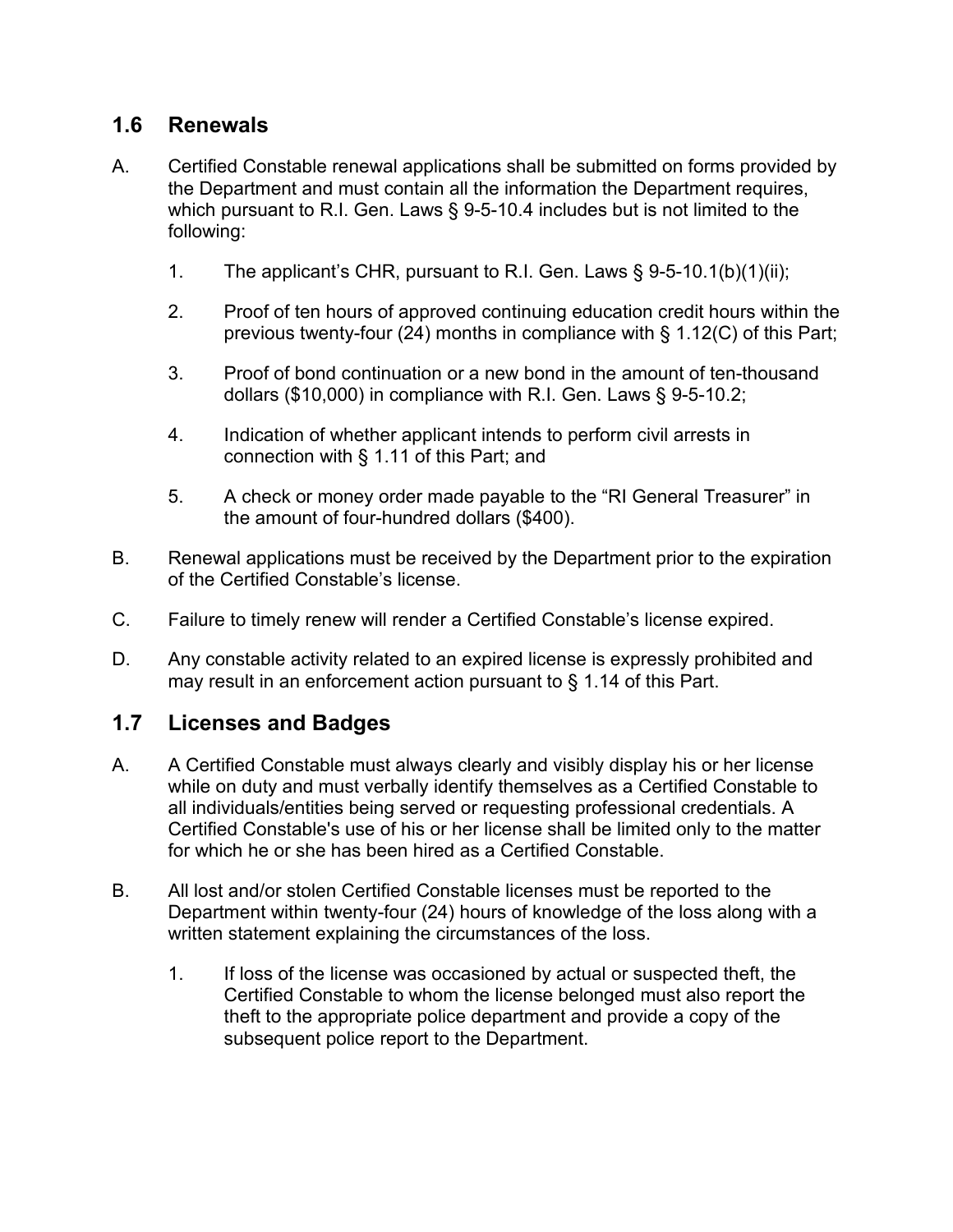## **1.6 Renewals**

- A. Certified Constable renewal applications shall be submitted on forms provided by the Department and must contain all the information the Department requires, which pursuant to R.I. Gen. Laws § 9-5-10.4 includes but is not limited to the following:
	- 1. The applicant's CHR, pursuant to R.I. Gen. Laws § 9-5-10.1(b)(1)(ii);
	- 2. Proof of ten hours of approved continuing education credit hours within the previous twenty-four (24) months in compliance with § 1.12(C) of this Part;
	- 3. Proof of bond continuation or a new bond in the amount of ten-thousand dollars (\$10,000) in compliance with R.I. Gen. Laws § 9-5-10.2;
	- 4. Indication of whether applicant intends to perform civil arrests in connection with § 1.11 of this Part; and
	- 5. A check or money order made payable to the "RI General Treasurer" in the amount of four-hundred dollars (\$400).
- B. Renewal applications must be received by the Department prior to the expiration of the Certified Constable's license.
- C. Failure to timely renew will render a Certified Constable's license expired.
- D. Any constable activity related to an expired license is expressly prohibited and may result in an enforcement action pursuant to § 1.14 of this Part.

### **1.7 Licenses and Badges**

- A. A Certified Constable must always clearly and visibly display his or her license while on duty and must verbally identify themselves as a Certified Constable to all individuals/entities being served or requesting professional credentials. A Certified Constable's use of his or her license shall be limited only to the matter for which he or she has been hired as a Certified Constable.
- B. All lost and/or stolen Certified Constable licenses must be reported to the Department within twenty-four (24) hours of knowledge of the loss along with a written statement explaining the circumstances of the loss.
	- 1. If loss of the license was occasioned by actual or suspected theft, the Certified Constable to whom the license belonged must also report the theft to the appropriate police department and provide a copy of the subsequent police report to the Department.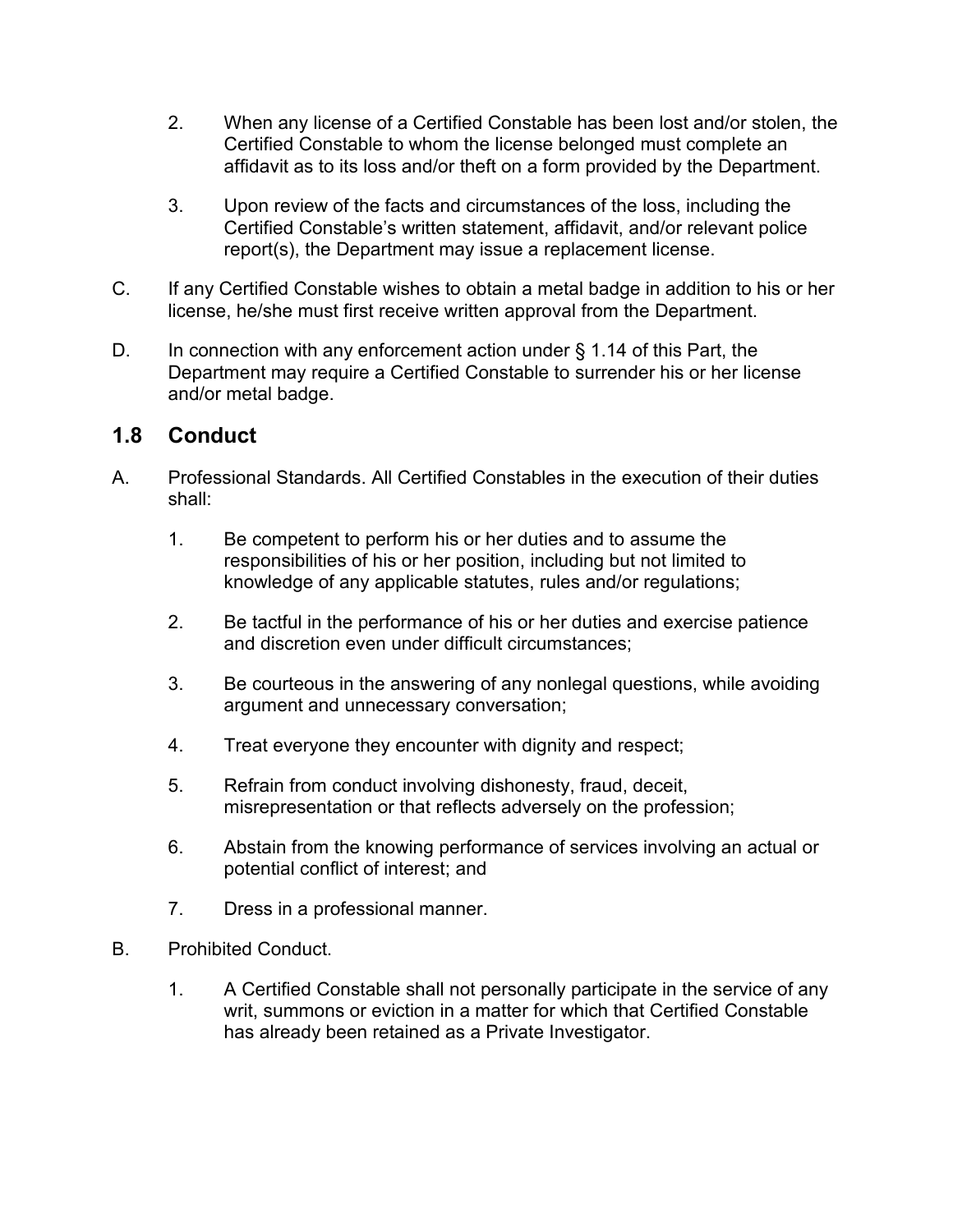- 2. When any license of a Certified Constable has been lost and/or stolen, the Certified Constable to whom the license belonged must complete an affidavit as to its loss and/or theft on a form provided by the Department.
- 3. Upon review of the facts and circumstances of the loss, including the Certified Constable's written statement, affidavit, and/or relevant police report(s), the Department may issue a replacement license.
- C. If any Certified Constable wishes to obtain a metal badge in addition to his or her license, he/she must first receive written approval from the Department.
- D. In connection with any enforcement action under  $\S$  1.14 of this Part, the Department may require a Certified Constable to surrender his or her license and/or metal badge.

## **1.8 Conduct**

- A. Professional Standards. All Certified Constables in the execution of their duties shall:
	- 1. Be competent to perform his or her duties and to assume the responsibilities of his or her position, including but not limited to knowledge of any applicable statutes, rules and/or regulations;
	- 2. Be tactful in the performance of his or her duties and exercise patience and discretion even under difficult circumstances;
	- 3. Be courteous in the answering of any nonlegal questions, while avoiding argument and unnecessary conversation;
	- 4. Treat everyone they encounter with dignity and respect;
	- 5. Refrain from conduct involving dishonesty, fraud, deceit, misrepresentation or that reflects adversely on the profession;
	- 6. Abstain from the knowing performance of services involving an actual or potential conflict of interest; and
	- 7. Dress in a professional manner.
- B. Prohibited Conduct.
	- 1. A Certified Constable shall not personally participate in the service of any writ, summons or eviction in a matter for which that Certified Constable has already been retained as a Private Investigator.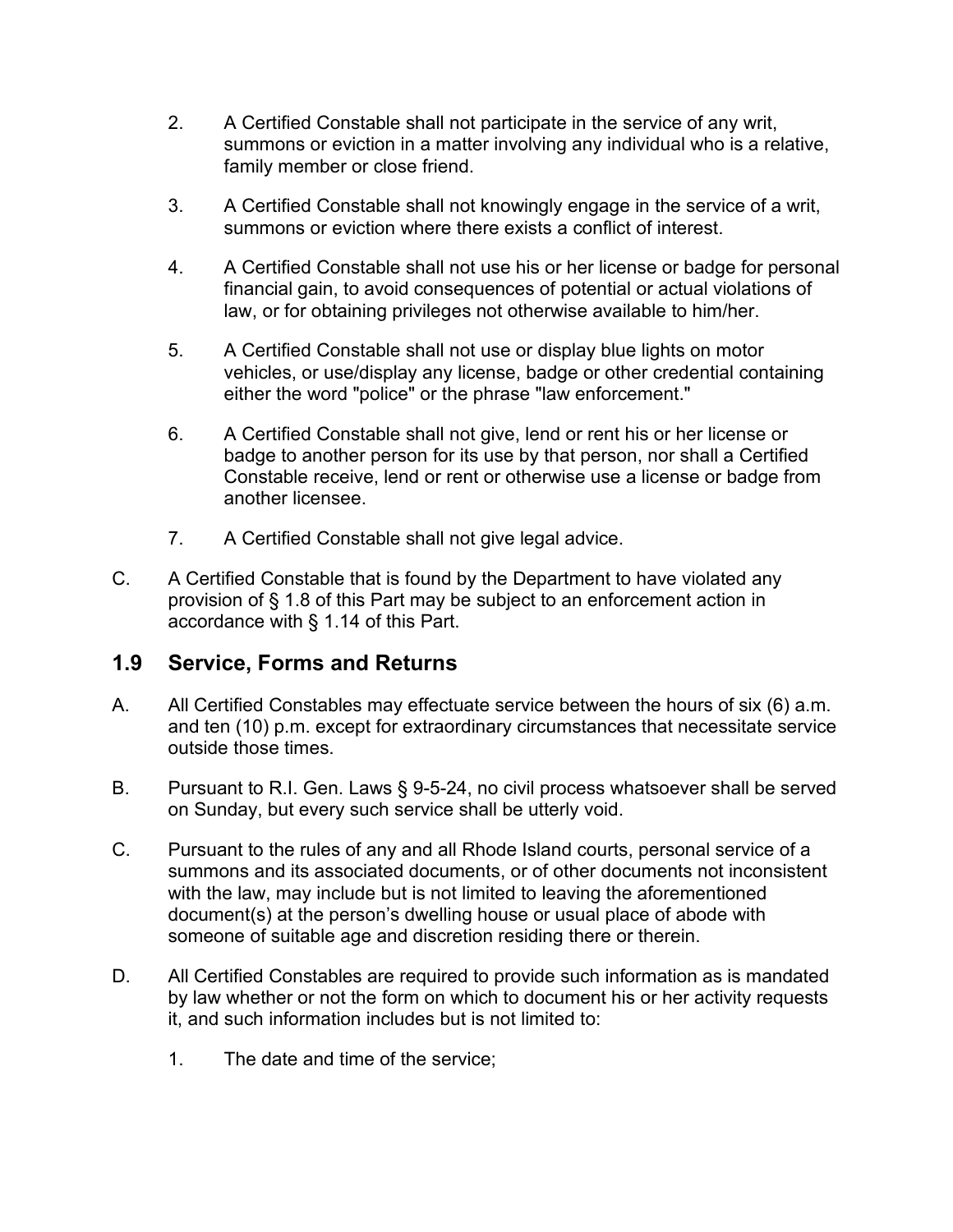- 2. A Certified Constable shall not participate in the service of any writ, summons or eviction in a matter involving any individual who is a relative, family member or close friend.
- 3. A Certified Constable shall not knowingly engage in the service of a writ, summons or eviction where there exists a conflict of interest.
- 4. A Certified Constable shall not use his or her license or badge for personal financial gain, to avoid consequences of potential or actual violations of law, or for obtaining privileges not otherwise available to him/her.
- 5. A Certified Constable shall not use or display blue lights on motor vehicles, or use/display any license, badge or other credential containing either the word "police" or the phrase "law enforcement."
- 6. A Certified Constable shall not give, lend or rent his or her license or badge to another person for its use by that person, nor shall a Certified Constable receive, lend or rent or otherwise use a license or badge from another licensee.
- 7. A Certified Constable shall not give legal advice.
- C. A Certified Constable that is found by the Department to have violated any provision of § 1.8 of this Part may be subject to an enforcement action in accordance with § 1.14 of this Part.

### **1.9 Service, Forms and Returns**

- A. All Certified Constables may effectuate service between the hours of six (6) a.m. and ten (10) p.m. except for extraordinary circumstances that necessitate service outside those times.
- B. Pursuant to R.I. Gen. Laws § 9-5-24, no civil process whatsoever shall be served on Sunday, but every such service shall be utterly void.
- C. Pursuant to the rules of any and all Rhode Island courts, personal service of a summons and its associated documents, or of other documents not inconsistent with the law, may include but is not limited to leaving the aforementioned document(s) at the person's dwelling house or usual place of abode with someone of suitable age and discretion residing there or therein.
- D. All Certified Constables are required to provide such information as is mandated by law whether or not the form on which to document his or her activity requests it, and such information includes but is not limited to:
	- 1. The date and time of the service;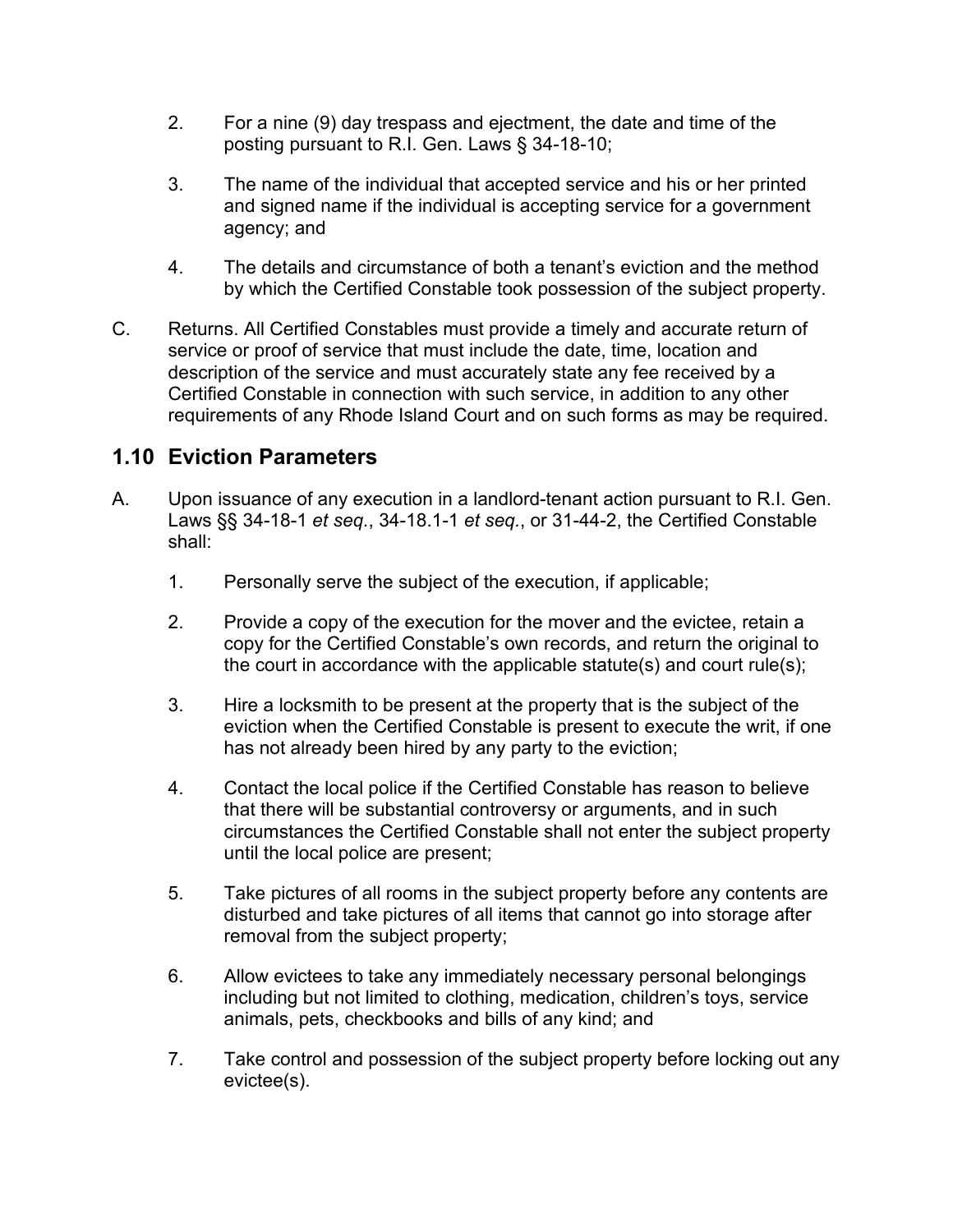- 2. For a nine (9) day trespass and ejectment, the date and time of the posting pursuant to R.I. Gen. Laws § 34-18-10;
- 3. The name of the individual that accepted service and his or her printed and signed name if the individual is accepting service for a government agency; and
- 4. The details and circumstance of both a tenant's eviction and the method by which the Certified Constable took possession of the subject property.
- C. Returns. All Certified Constables must provide a timely and accurate return of service or proof of service that must include the date, time, location and description of the service and must accurately state any fee received by a Certified Constable in connection with such service, in addition to any other requirements of any Rhode Island Court and on such forms as may be required.

# **1.10 Eviction Parameters**

- A. Upon issuance of any execution in a landlord-tenant action pursuant to R.I. Gen. Laws §§ 34-18-1 *et seq.*, 34-18.1-1 *et seq.*, or 31-44-2, the Certified Constable shall:
	- 1. Personally serve the subject of the execution, if applicable;
	- 2. Provide a copy of the execution for the mover and the evictee, retain a copy for the Certified Constable's own records, and return the original to the court in accordance with the applicable statute(s) and court rule(s);
	- 3. Hire a locksmith to be present at the property that is the subject of the eviction when the Certified Constable is present to execute the writ, if one has not already been hired by any party to the eviction;
	- 4. Contact the local police if the Certified Constable has reason to believe that there will be substantial controversy or arguments, and in such circumstances the Certified Constable shall not enter the subject property until the local police are present;
	- 5. Take pictures of all rooms in the subject property before any contents are disturbed and take pictures of all items that cannot go into storage after removal from the subject property;
	- 6. Allow evictees to take any immediately necessary personal belongings including but not limited to clothing, medication, children's toys, service animals, pets, checkbooks and bills of any kind; and
	- 7. Take control and possession of the subject property before locking out any evictee(s).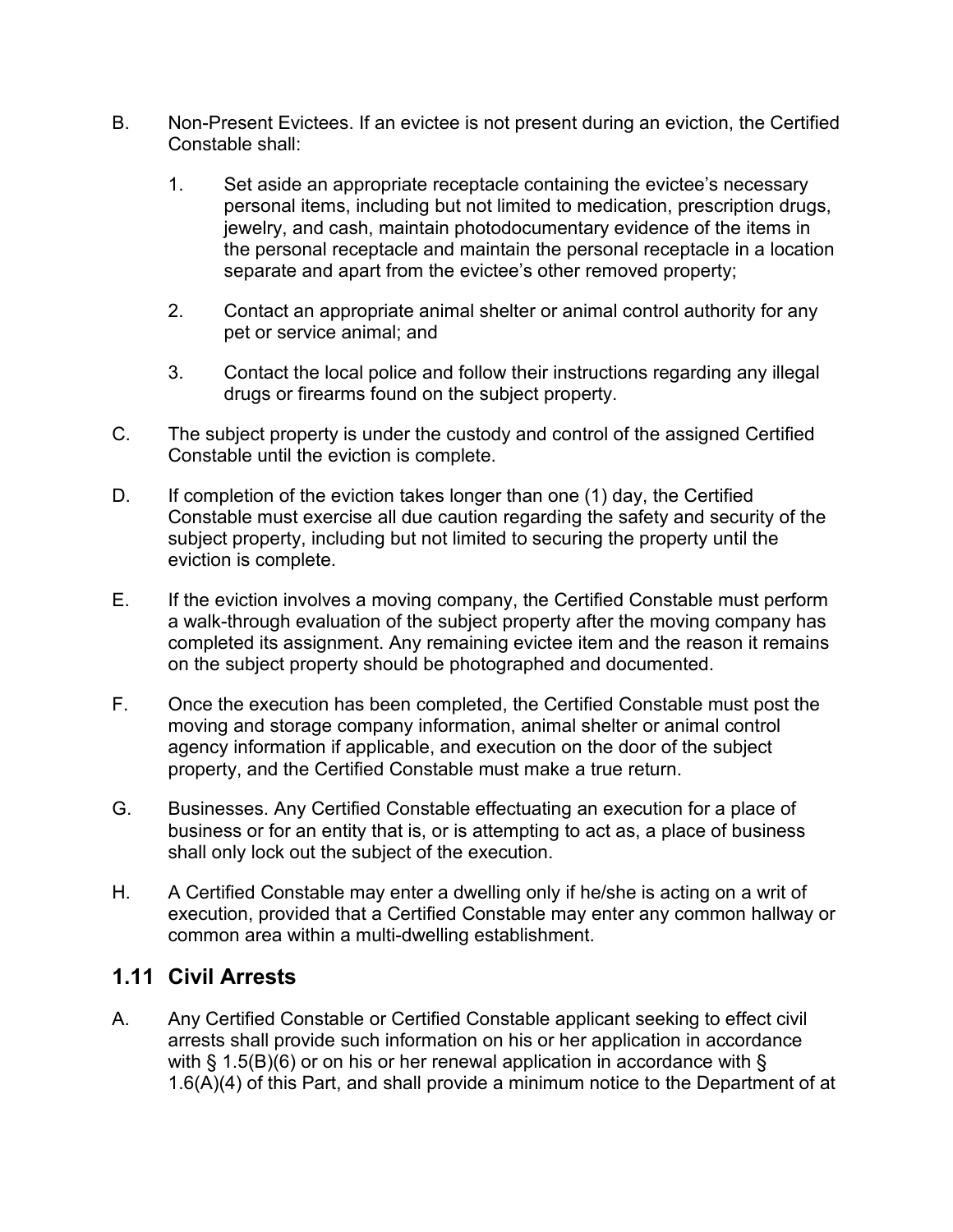- B. Non-Present Evictees. If an evictee is not present during an eviction, the Certified Constable shall:
	- 1. Set aside an appropriate receptacle containing the evictee's necessary personal items, including but not limited to medication, prescription drugs, jewelry, and cash, maintain photodocumentary evidence of the items in the personal receptacle and maintain the personal receptacle in a location separate and apart from the evictee's other removed property;
	- 2. Contact an appropriate animal shelter or animal control authority for any pet or service animal; and
	- 3. Contact the local police and follow their instructions regarding any illegal drugs or firearms found on the subject property.
- C. The subject property is under the custody and control of the assigned Certified Constable until the eviction is complete.
- D. If completion of the eviction takes longer than one (1) day, the Certified Constable must exercise all due caution regarding the safety and security of the subject property, including but not limited to securing the property until the eviction is complete.
- E. If the eviction involves a moving company, the Certified Constable must perform a walk-through evaluation of the subject property after the moving company has completed its assignment. Any remaining evictee item and the reason it remains on the subject property should be photographed and documented.
- F. Once the execution has been completed, the Certified Constable must post the moving and storage company information, animal shelter or animal control agency information if applicable, and execution on the door of the subject property, and the Certified Constable must make a true return.
- G. Businesses. Any Certified Constable effectuating an execution for a place of business or for an entity that is, or is attempting to act as, a place of business shall only lock out the subject of the execution.
- H. A Certified Constable may enter a dwelling only if he/she is acting on a writ of execution, provided that a Certified Constable may enter any common hallway or common area within a multi-dwelling establishment.

## **1.11 Civil Arrests**

A. Any Certified Constable or Certified Constable applicant seeking to effect civil arrests shall provide such information on his or her application in accordance with § 1.5(B)(6) or on his or her renewal application in accordance with § 1.6(A)(4) of this Part, and shall provide a minimum notice to the Department of at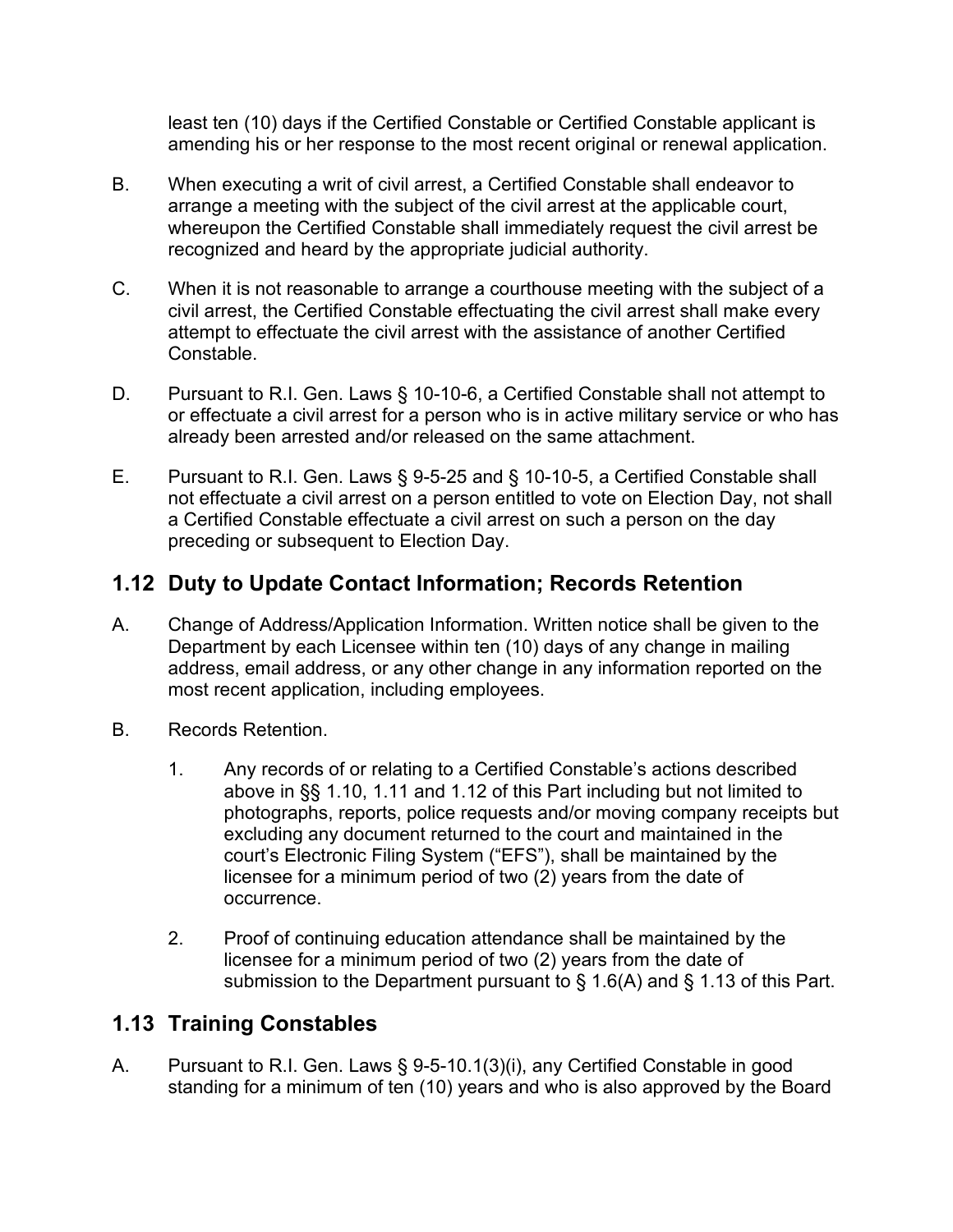least ten (10) days if the Certified Constable or Certified Constable applicant is amending his or her response to the most recent original or renewal application.

- B. When executing a writ of civil arrest, a Certified Constable shall endeavor to arrange a meeting with the subject of the civil arrest at the applicable court, whereupon the Certified Constable shall immediately request the civil arrest be recognized and heard by the appropriate judicial authority.
- C. When it is not reasonable to arrange a courthouse meeting with the subject of a civil arrest, the Certified Constable effectuating the civil arrest shall make every attempt to effectuate the civil arrest with the assistance of another Certified Constable.
- D. Pursuant to R.I. Gen. Laws § 10-10-6, a Certified Constable shall not attempt to or effectuate a civil arrest for a person who is in active military service or who has already been arrested and/or released on the same attachment.
- E. Pursuant to R.I. Gen. Laws § 9-5-25 and § 10-10-5, a Certified Constable shall not effectuate a civil arrest on a person entitled to vote on Election Day, not shall a Certified Constable effectuate a civil arrest on such a person on the day preceding or subsequent to Election Day.

# **1.12 Duty to Update Contact Information; Records Retention**

- A. Change of Address/Application Information. Written notice shall be given to the Department by each Licensee within ten (10) days of any change in mailing address, email address, or any other change in any information reported on the most recent application, including employees.
- B. Records Retention.
	- 1. Any records of or relating to a Certified Constable's actions described above in §§ 1.10, 1.11 and 1.12 of this Part including but not limited to photographs, reports, police requests and/or moving company receipts but excluding any document returned to the court and maintained in the court's Electronic Filing System ("EFS"), shall be maintained by the licensee for a minimum period of two (2) years from the date of occurrence.
	- 2. Proof of continuing education attendance shall be maintained by the licensee for a minimum period of two (2) years from the date of submission to the Department pursuant to § 1.6(A) and § 1.13 of this Part.

# **1.13 Training Constables**

A. Pursuant to R.I. Gen. Laws § 9-5-10.1(3)(i), any Certified Constable in good standing for a minimum of ten (10) years and who is also approved by the Board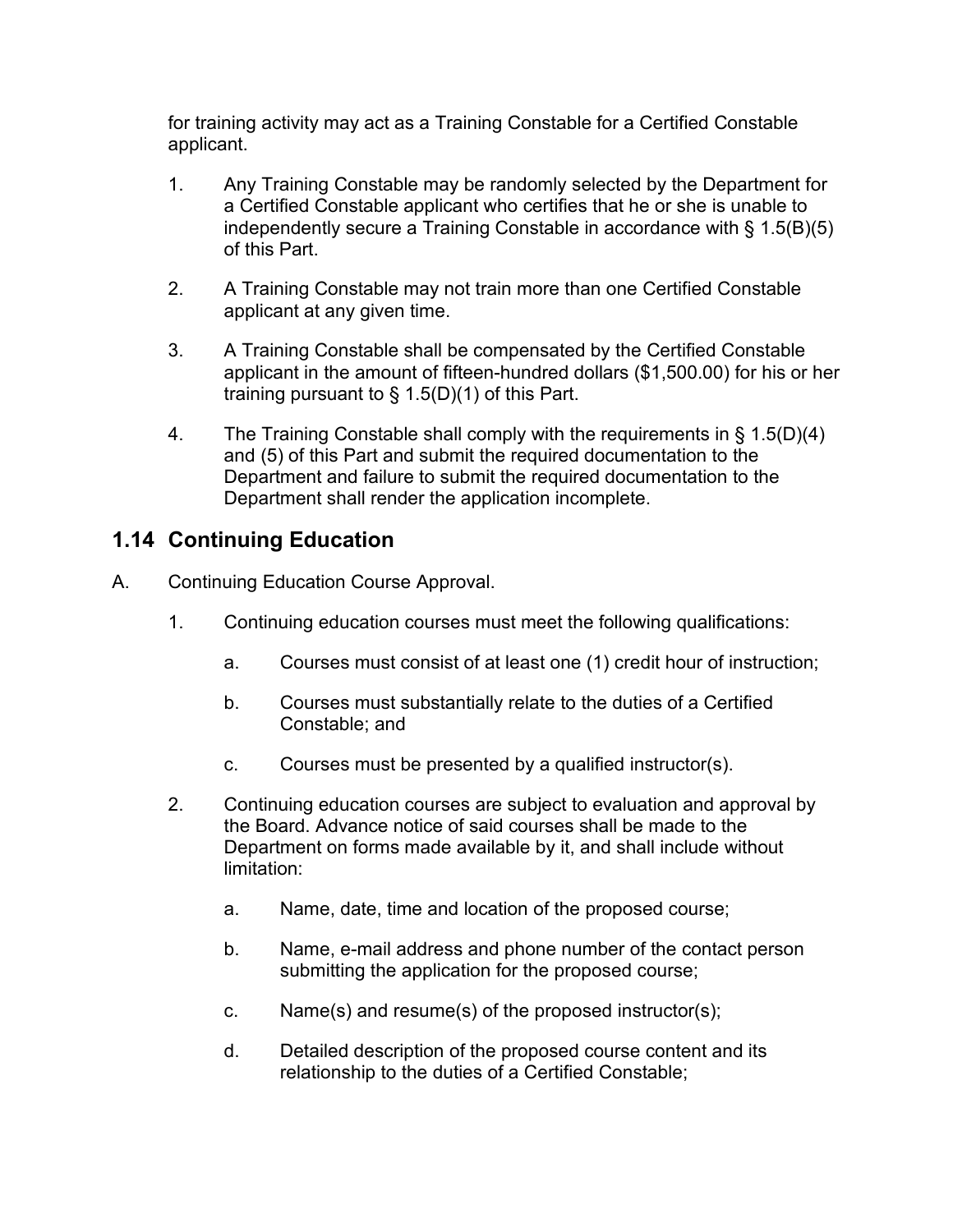for training activity may act as a Training Constable for a Certified Constable applicant.

- 1. Any Training Constable may be randomly selected by the Department for a Certified Constable applicant who certifies that he or she is unable to independently secure a Training Constable in accordance with § 1.5(B)(5) of this Part.
- 2. A Training Constable may not train more than one Certified Constable applicant at any given time.
- 3. A Training Constable shall be compensated by the Certified Constable applicant in the amount of fifteen-hundred dollars (\$1,500.00) for his or her training pursuant to  $\S$  1.5(D)(1) of this Part.
- 4. The Training Constable shall comply with the requirements in § 1.5(D)(4) and (5) of this Part and submit the required documentation to the Department and failure to submit the required documentation to the Department shall render the application incomplete.

## **1.14 Continuing Education**

- A. Continuing Education Course Approval.
	- 1. Continuing education courses must meet the following qualifications:
		- a. Courses must consist of at least one (1) credit hour of instruction;
		- b. Courses must substantially relate to the duties of a Certified Constable; and
		- c. Courses must be presented by a qualified instructor(s).
	- 2. Continuing education courses are subject to evaluation and approval by the Board. Advance notice of said courses shall be made to the Department on forms made available by it, and shall include without limitation:
		- a. Name, date, time and location of the proposed course;
		- b. Name, e-mail address and phone number of the contact person submitting the application for the proposed course;
		- c. Name(s) and resume(s) of the proposed instructor(s);
		- d. Detailed description of the proposed course content and its relationship to the duties of a Certified Constable;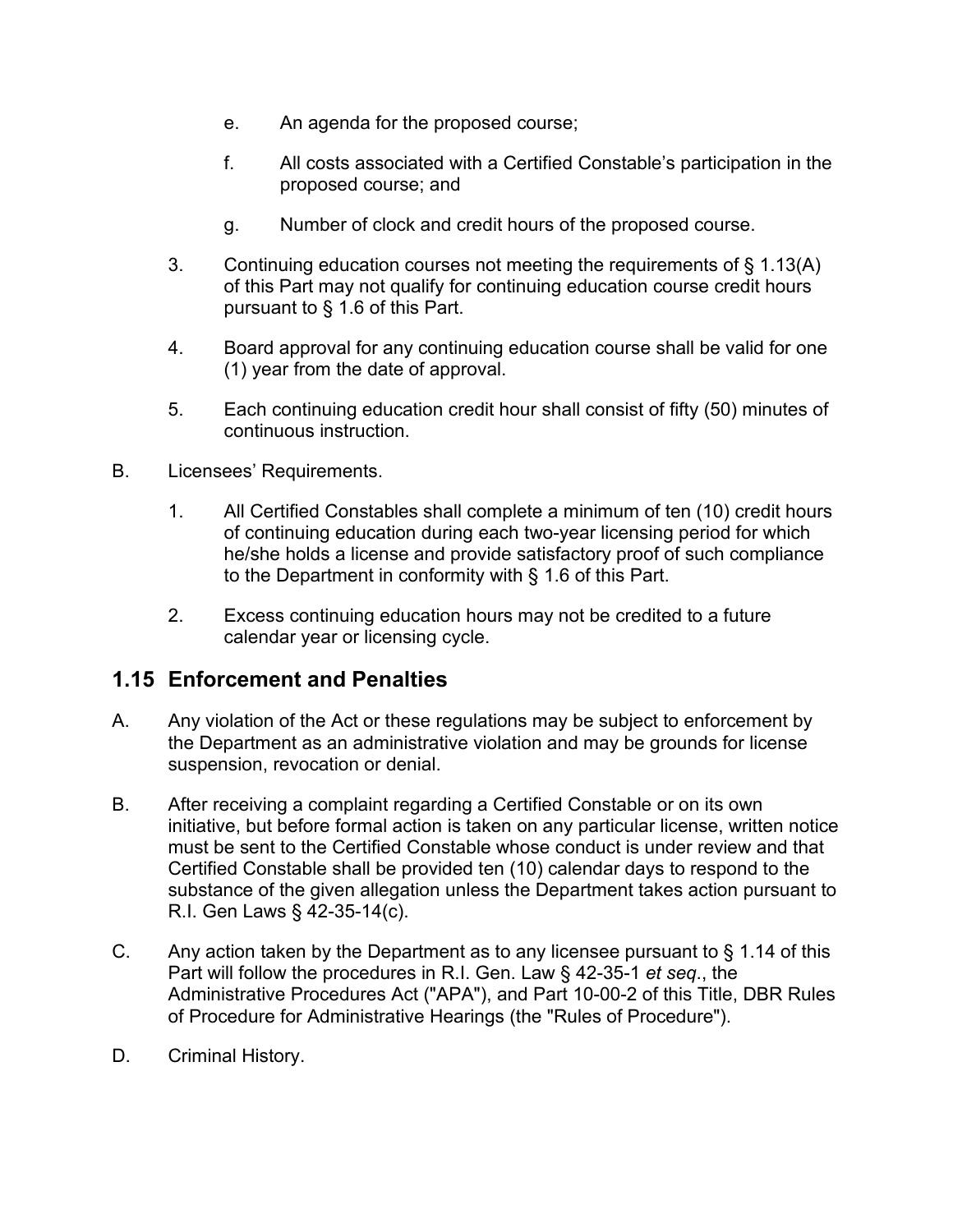- e. An agenda for the proposed course;
- f. All costs associated with a Certified Constable's participation in the proposed course; and
- g. Number of clock and credit hours of the proposed course.
- 3. Continuing education courses not meeting the requirements of § 1.13(A) of this Part may not qualify for continuing education course credit hours pursuant to § 1.6 of this Part.
- 4. Board approval for any continuing education course shall be valid for one (1) year from the date of approval.
- 5. Each continuing education credit hour shall consist of fifty (50) minutes of continuous instruction.
- B. Licensees' Requirements.
	- 1. All Certified Constables shall complete a minimum of ten (10) credit hours of continuing education during each two-year licensing period for which he/she holds a license and provide satisfactory proof of such compliance to the Department in conformity with § 1.6 of this Part.
	- 2. Excess continuing education hours may not be credited to a future calendar year or licensing cycle.

# **1.15 Enforcement and Penalties**

- A. Any violation of the Act or these regulations may be subject to enforcement by the Department as an administrative violation and may be grounds for license suspension, revocation or denial.
- B. After receiving a complaint regarding a Certified Constable or on its own initiative, but before formal action is taken on any particular license, written notice must be sent to the Certified Constable whose conduct is under review and that Certified Constable shall be provided ten (10) calendar days to respond to the substance of the given allegation unless the Department takes action pursuant to R.I. Gen Laws § 42-35-14(c).
- C. Any action taken by the Department as to any licensee pursuant to  $\S$  1.14 of this Part will follow the procedures in R.I. Gen. Law § 42-35-1 *et seq*., the Administrative Procedures Act ("APA"), and Part 10-00-2 of this Title, DBR Rules of Procedure for Administrative Hearings (the "Rules of Procedure").
- D. Criminal History.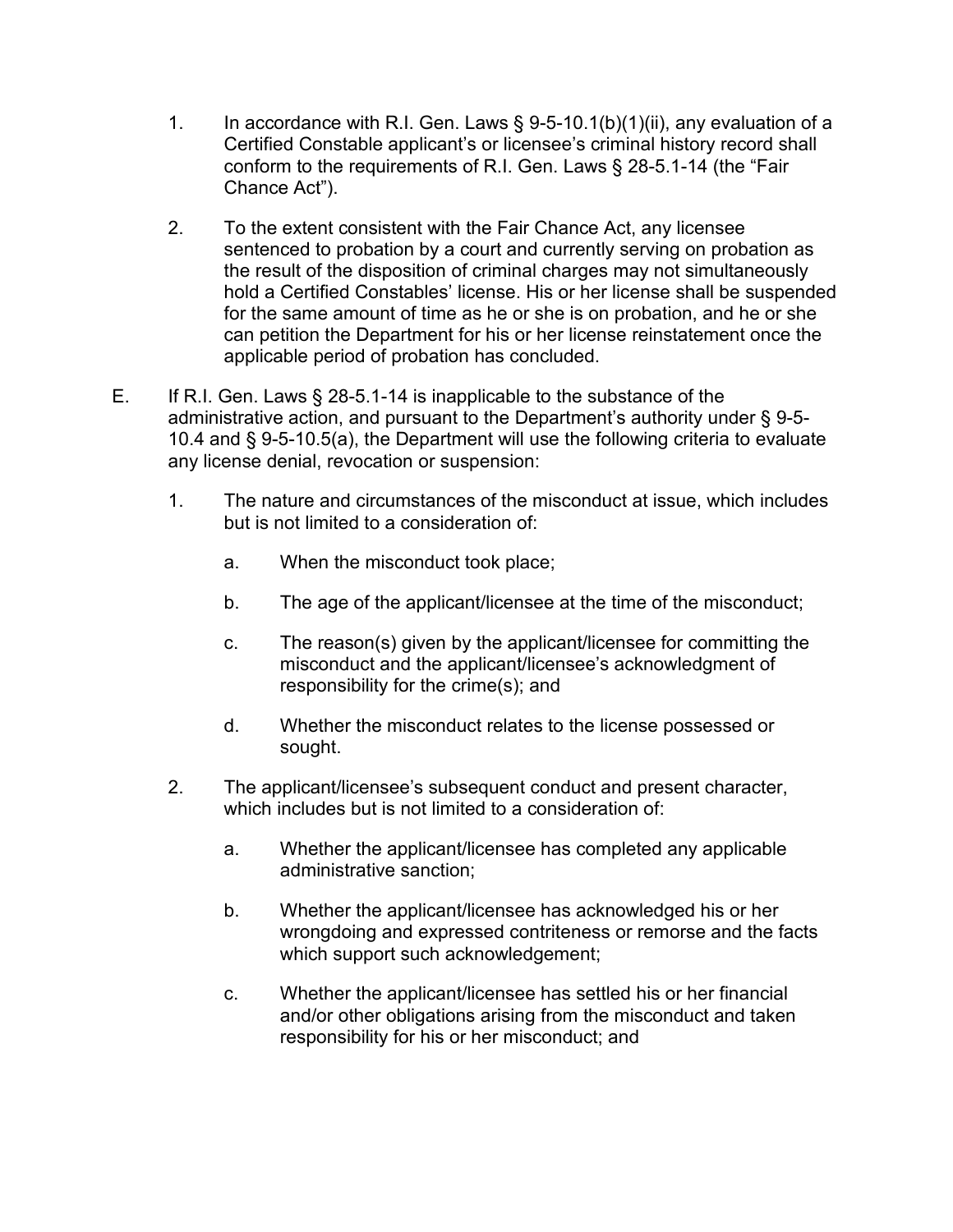- 1. In accordance with R.I. Gen. Laws  $\S 9-5-10.1(b)(1)(ii)$ , any evaluation of a Certified Constable applicant's or licensee's criminal history record shall conform to the requirements of R.I. Gen. Laws § 28-5.1-14 (the "Fair Chance Act").
- 2. To the extent consistent with the Fair Chance Act, any licensee sentenced to probation by a court and currently serving on probation as the result of the disposition of criminal charges may not simultaneously hold a Certified Constables' license. His or her license shall be suspended for the same amount of time as he or she is on probation, and he or she can petition the Department for his or her license reinstatement once the applicable period of probation has concluded.
- E. If R.I. Gen. Laws § 28-5.1-14 is inapplicable to the substance of the administrative action, and pursuant to the Department's authority under § 9-5- 10.4 and § 9-5-10.5(a), the Department will use the following criteria to evaluate any license denial, revocation or suspension:
	- 1. The nature and circumstances of the misconduct at issue, which includes but is not limited to a consideration of:
		- a. When the misconduct took place;
		- b. The age of the applicant/licensee at the time of the misconduct;
		- c. The reason(s) given by the applicant/licensee for committing the misconduct and the applicant/licensee's acknowledgment of responsibility for the crime(s); and
		- d. Whether the misconduct relates to the license possessed or sought.
	- 2. The applicant/licensee's subsequent conduct and present character, which includes but is not limited to a consideration of:
		- a. Whether the applicant/licensee has completed any applicable administrative sanction;
		- b. Whether the applicant/licensee has acknowledged his or her wrongdoing and expressed contriteness or remorse and the facts which support such acknowledgement;
		- c. Whether the applicant/licensee has settled his or her financial and/or other obligations arising from the misconduct and taken responsibility for his or her misconduct; and